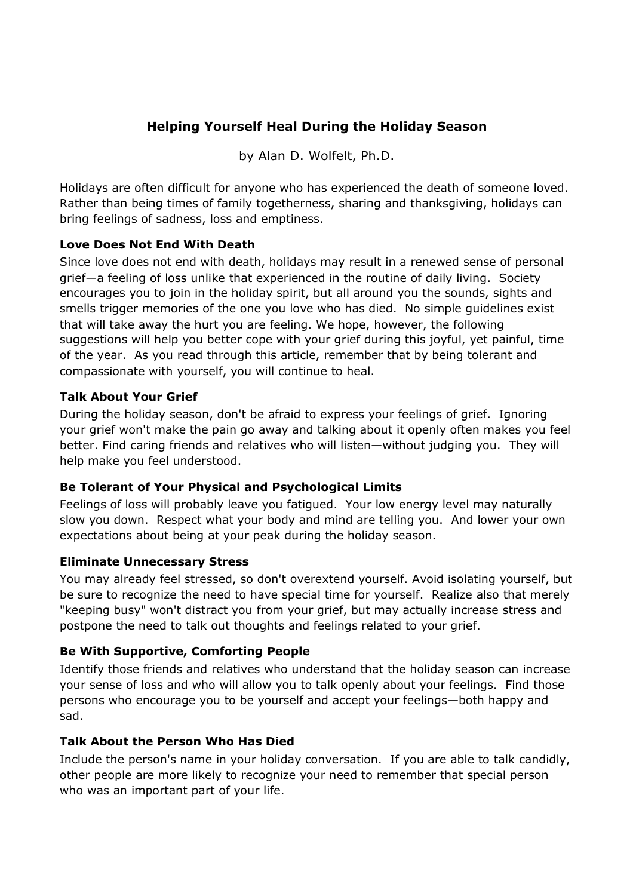# **Helping Yourself Heal During the Holiday Season**

by Alan D. Wolfelt, Ph.D.

Holidays are often difficult for anyone who has experienced the death of someone loved. Rather than being times of family togetherness, sharing and thanksgiving, holidays can bring feelings of sadness, loss and emptiness.

### **Love Does Not End With Death**

Since love does not end with death, holidays may result in a renewed sense of personal grief—a feeling of loss unlike that experienced in the routine of daily living. Society encourages you to join in the holiday spirit, but all around you the sounds, sights and smells trigger memories of the one you love who has died. No simple guidelines exist that will take away the hurt you are feeling. We hope, however, the following suggestions will help you better cope with your grief during this joyful, yet painful, time of the year. As you read through this article, remember that by being tolerant and compassionate with yourself, you will continue to heal.

### **Talk About Your Grief**

During the holiday season, don't be afraid to express your feelings of grief. Ignoring your grief won't make the pain go away and talking about it openly often makes you feel better. Find caring friends and relatives who will listen—without judging you. They will help make you feel understood.

# **Be Tolerant of Your Physical and Psychological Limits**

Feelings of loss will probably leave you fatigued. Your low energy level may naturally slow you down. Respect what your body and mind are telling you. And lower your own expectations about being at your peak during the holiday season.

### **Eliminate Unnecessary Stress**

You may already feel stressed, so don't overextend yourself. Avoid isolating yourself, but be sure to recognize the need to have special time for yourself. Realize also that merely "keeping busy" won't distract you from your grief, but may actually increase stress and postpone the need to talk out thoughts and feelings related to your grief.

### **Be With Supportive, Comforting People**

Identify those friends and relatives who understand that the holiday season can increase your sense of loss and who will allow you to talk openly about your feelings. Find those persons who encourage you to be yourself and accept your feelings—both happy and sad.

# **Talk About the Person Who Has Died**

Include the person's name in your holiday conversation. If you are able to talk candidly, other people are more likely to recognize your need to remember that special person who was an important part of your life.